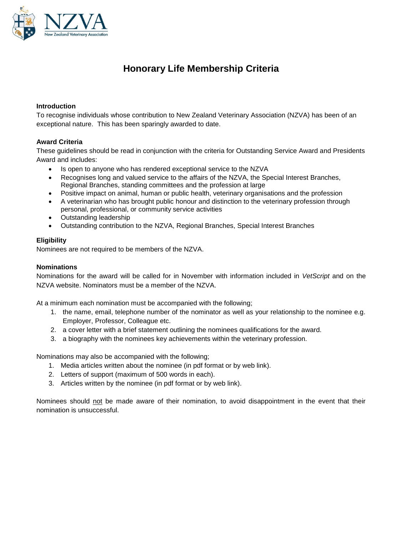

# **Honorary Life Membership Criteria**

### **Introduction**

To recognise individuals whose contribution to New Zealand Veterinary Association (NZVA) has been of an exceptional nature. This has been sparingly awarded to date.

### **Award Criteria**

These guidelines should be read in conjunction with the criteria for Outstanding Service Award and Presidents Award and includes:

- Is open to anyone who has rendered exceptional service to the NZVA
- Recognises long and valued service to the affairs of the NZVA, the Special Interest Branches, Regional Branches, standing committees and the profession at large
- Positive impact on animal, human or public health, veterinary organisations and the profession
- A veterinarian who has brought public honour and distinction to the veterinary profession through personal, professional, or community service activities
- Outstanding leadership
- Outstanding contribution to the NZVA, Regional Branches, Special Interest Branches

### **Eligibility**

Nominees are not required to be members of the NZVA.

### **Nominations**

Nominations for the award will be called for in November with information included in *VetScript* and on the NZVA website. Nominators must be a member of the NZVA.

At a minimum each nomination must be accompanied with the following;

- 1. the name, email, telephone number of the nominator as well as your relationship to the nominee e.g. Employer, Professor, Colleague etc.
- 2. a cover letter with a brief statement outlining the nominees qualifications for the award.
- 3. a biography with the nominees key achievements within the veterinary profession.

Nominations may also be accompanied with the following;

- 1. Media articles written about the nominee (in pdf format or by web link).
- 2. Letters of support (maximum of 500 words in each).
- 3. Articles written by the nominee (in pdf format or by web link).

Nominees should not be made aware of their nomination, to avoid disappointment in the event that their nomination is unsuccessful.